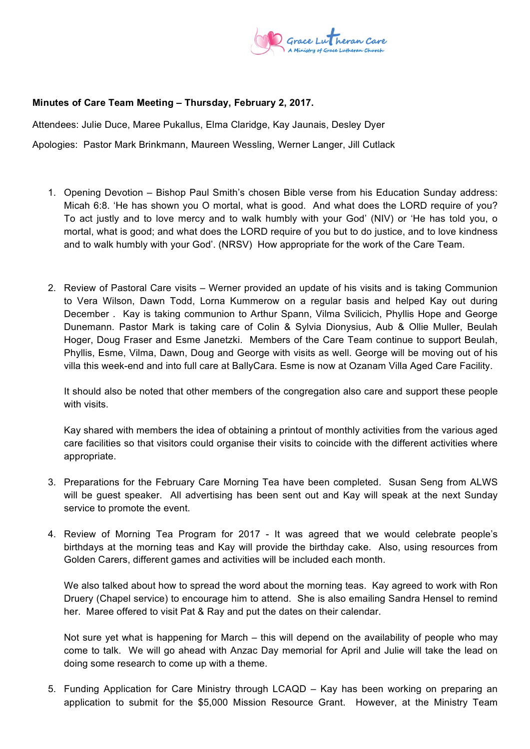

## **Minutes of Care Team Meeting – Thursday, February 2, 2017.**

Attendees: Julie Duce, Maree Pukallus, Elma Claridge, Kay Jaunais, Desley Dyer

Apologies: Pastor Mark Brinkmann, Maureen Wessling, Werner Langer, Jill Cutlack

- 1. Opening Devotion Bishop Paul Smith's chosen Bible verse from his Education Sunday address: Micah 6:8. 'He has shown you O mortal, what is good. And what does the LORD require of you? To act iustly and to love mercy and to walk humbly with your God' (NIV) or 'He has told you, o mortal, what is good; and what does the LORD require of you but to do justice, and to love kindness and to walk humbly with your God'. (NRSV) How appropriate for the work of the Care Team.
- 2. Review of Pastoral Care visits Werner provided an update of his visits and is taking Communion to Vera Wilson, Dawn Todd, Lorna Kummerow on a regular basis and helped Kay out during December . Kay is taking communion to Arthur Spann, Vilma Svilicich, Phyllis Hope and George Dunemann. Pastor Mark is taking care of Colin & Sylvia Dionysius, Aub & Ollie Muller, Beulah Hoger, Doug Fraser and Esme Janetzki. Members of the Care Team continue to support Beulah, Phyllis, Esme, Vilma, Dawn, Doug and George with visits as well. George will be moving out of his villa this week-end and into full care at BallyCara. Esme is now at Ozanam Villa Aged Care Facility.

It should also be noted that other members of the congregation also care and support these people with visits.

Kay shared with members the idea of obtaining a printout of monthly activities from the various aged care facilities so that visitors could organise their visits to coincide with the different activities where appropriate.

- 3. Preparations for the February Care Morning Tea have been completed. Susan Seng from ALWS will be guest speaker. All advertising has been sent out and Kay will speak at the next Sunday service to promote the event.
- 4. Review of Morning Tea Program for 2017 It was agreed that we would celebrate people's birthdays at the morning teas and Kay will provide the birthday cake. Also, using resources from Golden Carers, different games and activities will be included each month.

We also talked about how to spread the word about the morning teas. Kay agreed to work with Ron Druery (Chapel service) to encourage him to attend. She is also emailing Sandra Hensel to remind her. Maree offered to visit Pat & Ray and put the dates on their calendar.

Not sure yet what is happening for March – this will depend on the availability of people who may come to talk. We will go ahead with Anzac Day memorial for April and Julie will take the lead on doing some research to come up with a theme.

5. Funding Application for Care Ministry through LCAQD – Kay has been working on preparing an application to submit for the \$5,000 Mission Resource Grant. However, at the Ministry Team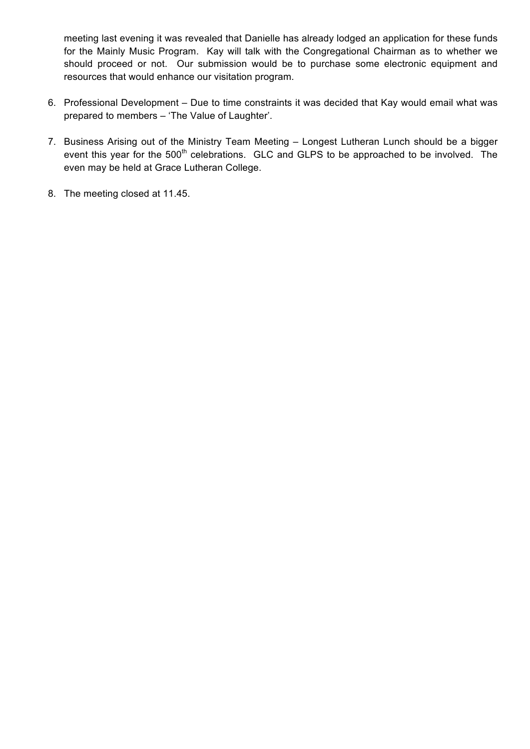meeting last evening it was revealed that Danielle has already lodged an application for these funds for the Mainly Music Program. Kay will talk with the Congregational Chairman as to whether we should proceed or not. Our submission would be to purchase some electronic equipment and resources that would enhance our visitation program.

- 6. Professional Development Due to time constraints it was decided that Kay would email what was prepared to members – 'The Value of Laughter'.
- 7. Business Arising out of the Ministry Team Meeting Longest Lutheran Lunch should be a bigger event this year for the 500<sup>th</sup> celebrations. GLC and GLPS to be approached to be involved. The even may be held at Grace Lutheran College.
- 8. The meeting closed at 11.45.